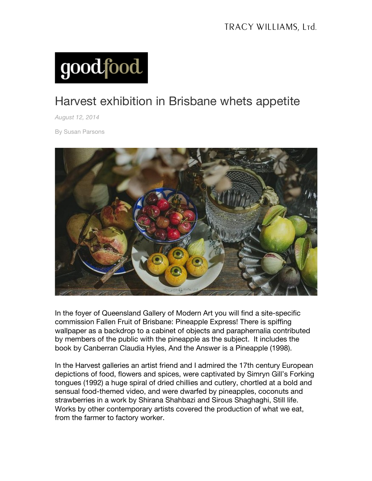

## Harvest exhibition in Brisbane whets appetite

*August 12, 2014*

By Susan Parsons



In the foyer of Queensland Gallery of Modern Art you will find a site-specific commission Fallen Fruit of Brisbane: Pineapple Express! There is spiffing wallpaper as a backdrop to a cabinet of objects and paraphernalia contributed by members of the public with the pineapple as the subject. It includes the book by Canberran Claudia Hyles, And the Answer is a Pineapple (1998).

In the Harvest galleries an artist friend and I admired the 17th century European depictions of food, flowers and spices, were captivated by Simryn Gill's Forking tongues (1992) a huge spiral of dried chillies and cutlery, chortled at a bold and sensual food-themed video, and were dwarfed by pineapples, coconuts and strawberries in a work by Shirana Shahbazi and Sirous Shaghaghi, Still life. Works by other contemporary artists covered the production of what we eat, from the farmer to factory worker.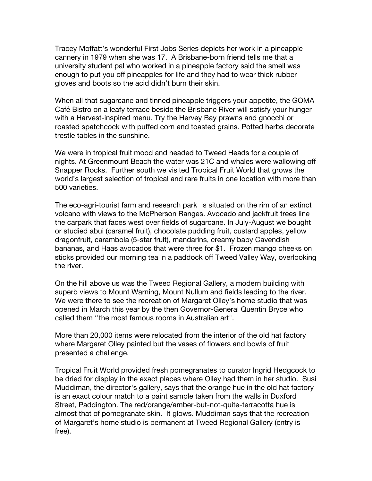Tracey Moffatt's wonderful First Jobs Series depicts her work in a pineapple cannery in 1979 when she was 17. A Brisbane-born friend tells me that a university student pal who worked in a pineapple factory said the smell was enough to put you off pineapples for life and they had to wear thick rubber gloves and boots so the acid didn't burn their skin.

When all that sugarcane and tinned pineapple triggers your appetite, the GOMA Café Bistro on a leafy terrace beside the Brisbane River will satisfy your hunger with a Harvest-inspired menu. Try the Hervey Bay prawns and gnocchi or roasted spatchcock with puffed corn and toasted grains. Potted herbs decorate trestle tables in the sunshine.

We were in tropical fruit mood and headed to Tweed Heads for a couple of nights. At Greenmount Beach the water was 21C and whales were wallowing off Snapper Rocks. Further south we visited Tropical Fruit World that grows the world's largest selection of tropical and rare fruits in one location with more than 500 varieties.

The eco-agri-tourist farm and research park is situated on the rim of an extinct volcano with views to the McPherson Ranges. Avocado and jackfruit trees line the carpark that faces west over fields of sugarcane. In July-August we bought or studied abui (caramel fruit), chocolate pudding fruit, custard apples, yellow dragonfruit, carambola (5-star fruit), mandarins, creamy baby Cavendish bananas, and Haas avocados that were three for \$1. Frozen mango cheeks on sticks provided our morning tea in a paddock off Tweed Valley Way, overlooking the river.

On the hill above us was the Tweed Regional Gallery, a modern building with superb views to Mount Warning, Mount Nullum and fields leading to the river. We were there to see the recreation of Margaret Olley's home studio that was opened in March this year by the then Governor-General Quentin Bryce who called them ''the most famous rooms in Australian art".

More than 20,000 items were relocated from the interior of the old hat factory where Margaret Olley painted but the vases of flowers and bowls of fruit presented a challenge.

Tropical Fruit World provided fresh pomegranates to curator Ingrid Hedgcock to be dried for display in the exact places where Olley had them in her studio. Susi Muddiman, the director's gallery, says that the orange hue in the old hat factory is an exact colour match to a paint sample taken from the walls in Duxford Street, Paddington. The red/orange/amber-but-not-quite-terracotta hue is almost that of pomegranate skin. It glows. Muddiman says that the recreation of Margaret's home studio is permanent at Tweed Regional Gallery (entry is free).